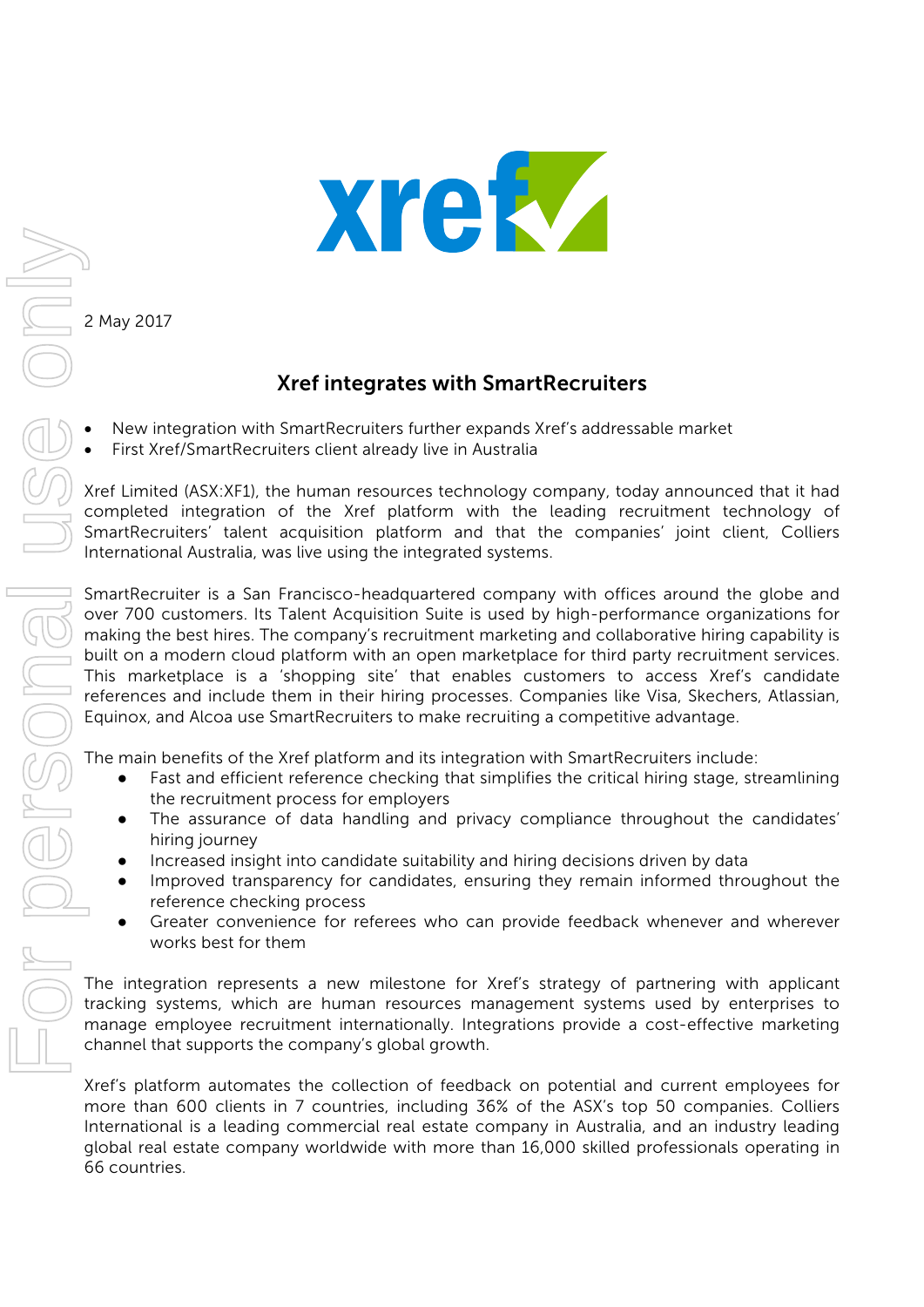

2 May 2017

## Xref integrates with SmartRecruiters

- New integration with SmartRecruiters further expands Xref's addressable market
- First Xref/SmartRecruiters client already live in Australia

Xref Limited (ASX:XF1), the human resources technology company, today announced that it had completed integration of the Xref platform with the leading recruitment technology of SmartRecruiters' talent acquisition platform and that the companies' joint client, Colliers International Australia, was live using the integrated systems.

SmartRecruiter is a San Francisco-headquartered company with offices around the globe and over 700 customers. Its Talent Acquisition Suite is used by high-performance organizations for making the best hires. The company's recruitment marketing and collaborative hiring capability is built on a modern cloud platform with an open marketplace for third party recruitment services. This marketplace is a 'shopping site' that enables customers to access Xref's candidate references and include them in their hiring processes. Companies like Visa, Skechers, Atlassian, Equinox, and Alcoa use SmartRecruiters to make recruiting a competitive advantage.

The main benefits of the Xref platform and its integration with SmartRecruiters include:

- Fast and efficient reference checking that simplifies the critical hiring stage, streamlining the recruitment process for employers
- The assurance of data handling and privacy compliance throughout the candidates' hiring journey
- Increased insight into candidate suitability and hiring decisions driven by data
- Improved transparency for candidates, ensuring they remain informed throughout the reference checking process
- Greater convenience for referees who can provide feedback whenever and wherever works best for them

The integration represents a new milestone for Xref's strategy of partnering with applicant tracking systems, which are human resources management systems used by enterprises to manage employee recruitment internationally. Integrations provide a cost-effective marketing channel that supports the company's global growth.

Xref's platform automates the collection of feedback on potential and current employees for more than 600 clients in 7 countries, including 36% of the ASX's top 50 companies. Colliers International is a leading commercial real estate company in Australia, and an industry leading global real estate company worldwide with more than 16,000 skilled professionals operating in 66 countries.